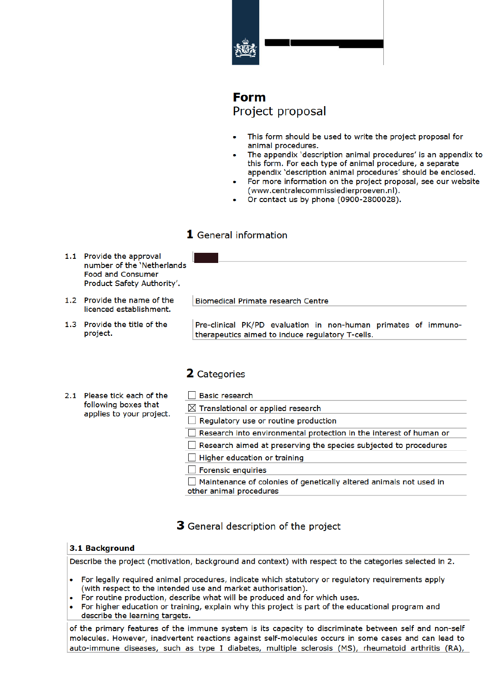

# **Form** Project proposal

- This form should be used to write the project proposal for animal procedures.
- The appendix 'description animal procedures' is an appendix to this form. For each type of animal procedure, a separate appendix 'description animal procedures' should be enclosed.
- For more information on the project proposal, see our website (www.centralecommissiedierproeven.nl).
- Or contact us by phone (0900-2800028).

## 1 General information

- 1.1 Provide the approval number of the 'Netherlands **Food and Consumer** Product Safety Authority'.
- 1.2 Provide the name of the licenced establishment.
- 1.3 Provide the title of the project.

**Biomedical Primate research Centre** 

Pre-clinical PK/PD evaluation in non-human primates of immunotherapeutics aimed to induce regulatory T-cells.

### 2 Categories

- 2.1 Please tick each of the following boxes that applies to your project.
- □ Basic research  $\boxtimes$  Translational or applied research Requiatory use or routine production Research into environmental protection in the interest of human or Research aimed at preserving the species subjected to procedures  $\Box$  Higher education or training  $\Box$  Forensic enquiries Maintenance of colonies of genetically altered animals not used in other animal procedures

## 3 General description of the project

### 3.1 Background

Describe the project (motivation, background and context) with respect to the categories selected in 2.

- For legally required animal procedures, indicate which statutory or regulatory requirements apply (with respect to the intended use and market authorisation).
- For routine production, describe what will be produced and for which uses.
- For higher education or training, explain why this project is part of the educational program and describe the learning targets.

of the primary features of the immune system is its capacity to discriminate between self and non-self molecules. However, inadvertent reactions against self-molecules occurs in some cases and can lead to auto-immune diseases, such as type I diabetes, multiple sclerosis (MS), rheumatoid arthritis (RA),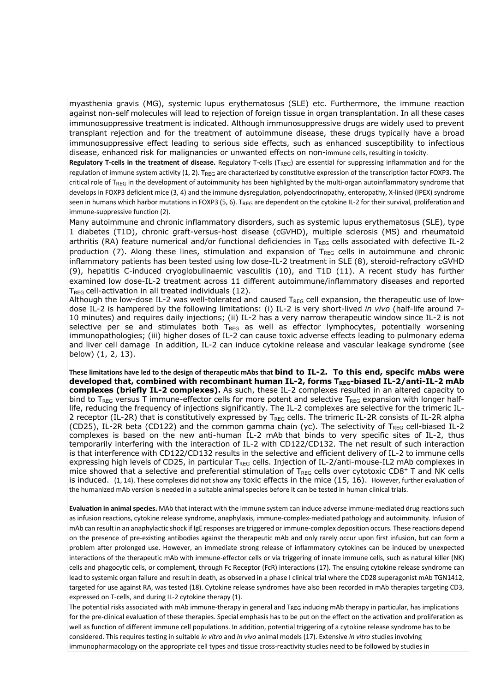myasthenia gravis (MG), systemic lupus erythematosus (SLE) etc. Furthermore, the immune reaction against non-self molecules will lead to rejection of foreign tissue in organ transplantation. In all these cases immunosuppressive treatment is indicated. Although immunosuppressive drugs are widely used to prevent transplant rejection and for the treatment of autoimmune disease, these drugs typically have a broad immunosuppressive effect leading to serious side effects, such as enhanced susceptibility to infectious disease, enhanced risk for malignancies or unwanted effects on non-immune cells, resulting in toxicity.

**Regulatory T-cells in the treatment of disease.** Regulatory T-cells (T<sub>REG</sub>) are essential for suppressing inflammation and for the regulation of immune system activity (1, 2). TREG are characterized by constitutive expression of the transcription factor FOXP3. The critical role of T<sub>REG</sub> in the development of autoimmunity has been highlighted by the multi-organ autoinflammatory syndrome that develops in FOXP3 deficient mice (3, 4) and the immune dysregulation, polyendocrinopathy, enteropathy, X-linked (IPEX) syndrome seen in humans which harbor mutations in FOXP3 (5, 6). T<sub>REG</sub> are dependent on the cytokine IL-2 for their survival, proliferation and immune-suppressive function (2).

Many autoimmune and chronic inflammatory disorders, such as systemic lupus erythematosus (SLE), type 1 diabetes (T1D), chronic graft-versus-host disease (cGVHD), multiple sclerosis (MS) and rheumatoid arthritis (RA) feature numerical and/or functional deficiencies in  $T_{REG}$  cells associated with defective IL-2 production (7). Along these lines, stimulation and expansion of  $T_{REG}$  cells in autoimmune and chronic inflammatory patients has been tested using low dose-IL-2 treatment in SLE (8), steroid-refractory cGVHD (9), hepatitis C-induced cryoglobulinaemic vasculitis (10), and T1D (11). A recent study has further examined low dose-IL-2 treatment across 11 different autoimmune/inflammatory diseases and reported T<sub>RFG</sub> cell-activation in all treated individuals (12).

Although the low-dose IL-2 was well-tolerated and caused  $T_{RFG}$  cell expansion, the therapeutic use of lowdose IL-2 is hampered by the following limitations: (i) IL-2 is very short-lived *in vivo* (half-life around 7- 10 minutes) and requires daily injections; (ii) IL-2 has a very narrow therapeutic window since IL-2 is not selective per se and stimulates both  $T_{REG}$  as well as effector lymphocytes, potentially worsening immunopathologies; (iii) higher doses of IL-2 can cause toxic adverse effects leading to pulmonary edema and liver cell damage In addition, IL-2 can induce cytokine release and vascular leakage syndrome (see below) (1, 2, 13).

**These limitations have led to the design of therapeutic mAbs that bind to IL-2. To this end, specifc mAbs were**  developed that, combined with recombinant human IL-2, forms TREG-biased IL-2/anti-IL-2 mAb **complexes (briefly IL-2 complexes).** As such, these IL-2 complexes resulted in an altered capacity to bind to T<sub>REG</sub> versus T immune-effector cells for more potent and selective T<sub>REG</sub> expansion with longer halflife, reducing the frequency of injections significantly. The IL-2 complexes are selective for the trimeric IL-2 receptor (IL-2R) that is constitutively expressed by  $T_{REG}$  cells. The trimeric IL-2R consists of IL-2R alpha (CD25), IL-2R beta (CD122) and the common gamma chain (yc). The selectivity of  $T_{REG}$  cell-biased IL-2 complexes is based on the new anti-human IL-2 mAb that binds to very specific sites of IL-2, thus temporarily interfering with the interaction of IL-2 with CD122/CD132. The net result of such interaction is that interference with CD122/CD132 results in the selective and efficient delivery of IL-2 to immune cells expressing high levels of CD25, in particular T<sub>REG</sub> cells. Injection of IL-2/anti-mouse-IL2 mAb complexes in mice showed that a selective and preferential stimulation of TREG cells over cytotoxic CD8+ T and NK cells is induced. (1, 14). These complexes did not show any toxic effects in the mice (15, 16). However, further evaluation of the humanized mAb version is needed in a suitable animal species before it can be tested in human clinical trials.

**Evaluation in animalspecies.** MAb that interact with the immune system can induce adverse immune-mediated drug reactions such as infusion reactions, cytokine release syndrome, anaphylaxis, immune-complex-mediated pathology and autoimmunity. Infusion of mAb can result in an anaphylactic shock if IgE responses are triggered or immune-complex deposition occurs. These reactions depend on the presence of pre-existing antibodies against the therapeutic mAb and only rarely occur upon first infusion, but can form a problem after prolonged use. However, an immediate strong release of inflammatory cytokines can be induced by unexpected interactions of the therapeutic mAb with immune-effector cells or via triggering of innate immune cells, such as natural killer (NK) cells and phagocytic cells, or complement, through Fc Receptor (FcR) interactions (17). The ensuing cytokine release syndrome can lead to systemic organ failure and result in death, as observed in a phase I clinical trial where the CD28 superagonist mAb TGN1412, targeted for use against RA, was tested (18). Cytokine release syndromes have also been recorded in mAb therapies targeting CD3, expressed on T-cells, and during IL-2 cytokine therapy (1).

The potential risks associated with mAb immune-therapy in general and T<sub>REG</sub> inducing mAb therapy in particular, has implications for the pre-clinical evaluation of these therapies. Special emphasis has to be put on the effect on the activation and proliferation as well as function of different immune cell populations. In addition, potential triggering of a cytokine release syndrome has to be considered. This requires testing in suitable *in vitro* and *in vivo* animal models (17). Extensive *in vitro* studies involving immunopharmacology on the appropriate cell types and tissue cross-reactivity studies need to be followed by studies in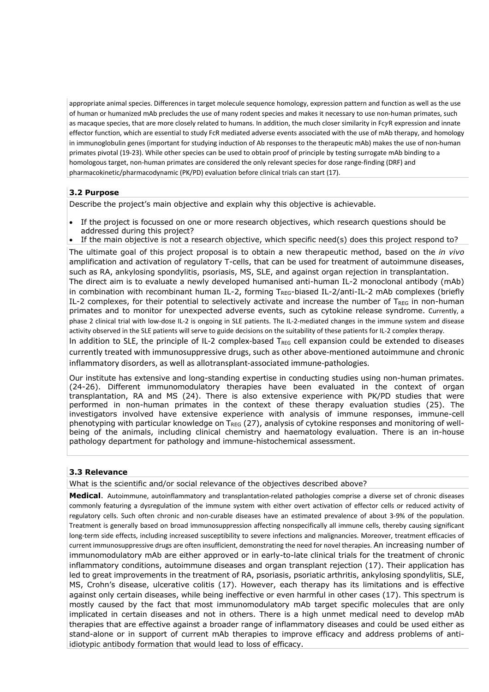appropriate animal species. Differences in target molecule sequence homology, expression pattern and function as well as the use of human or humanized mAb precludes the use of many rodent species and makes it necessary to use non-human primates, such as macaque species, that are more closely related to humans. In addition, the much closer similarity in FcyR expression and innate effector function, which are essential to study FcR mediated adverse events associated with the use of mAb therapy, and homology in immunoglobulin genes (important for studying induction of Ab responses to the therapeutic mAb) makes the use of non-human primates pivotal (19-23). While other species can be used to obtain proof of principle by testing surrogate mAb binding to a homologous target, non-human primates are considered the only relevant species for dose range-finding (DRF) and pharmacokinetic/pharmacodynamic (PK/PD) evaluation before clinical trials can start (17).

### **3.2 Purpose**

Describe the project's main objective and explain why this objective is achievable.

- If the project is focussed on one or more research objectives, which research questions should be addressed during this project?
- If the main objective is not a research objective, which specific need(s) does this project respond to?

The ultimate goal of this project proposal is to obtain a new therapeutic method, based on the *in vivo* amplification and activation of regulatory T-cells, that can be used for treatment of autoimmune diseases, such as RA, ankylosing spondylitis, psoriasis, MS, SLE, and against organ rejection in transplantation. The direct aim is to evaluate a newly developed humanised anti-human IL-2 monoclonal antibody (mAb) in combination with recombinant human IL-2, forming  $T_{REG}$ -biased IL-2/anti-IL-2 mAb complexes (briefly IL-2 complexes, for their potential to selectively activate and increase the number of  $T_{REG}$  in non-human primates and to monitor for unexpected adverse events, such as cytokine release syndrome. Currently, a phase 2 clinical trial with low-dose IL-2 is ongoing in SLE patients. The IL-2-mediated changes in the immune system and disease activity observed in the SLE patients will serve to guide decisions on the suitability of these patients for IL-2 complex therapy. In addition to SLE, the principle of IL-2 complex-based  $T_{REG}$  cell expansion could be extended to diseases

currently treated with immunosuppressive drugs, such as other above-mentioned autoimmune and chronic inflammatory disorders, as well as allotransplant-associated immune-pathologies.

Our institute has extensive and long-standing expertise in conducting studies using non-human primates. (24-26). Different immunomodulatory therapies have been evaluated in the context of organ transplantation, RA and MS (24). There is also extensive experience with PK/PD studies that were performed in non-human primates in the context of these therapy evaluation studies (25). The investigators involved have extensive experience with analysis of immune responses, immune-cell phenotyping with particular knowledge on  $T_{\text{REG}}$  (27), analysis of cytokine responses and monitoring of wellbeing of the animals, including clinical chemistry and haematology evaluation. There is an in-house pathology department for pathology and immune-histochemical assessment.

#### **3.3 Relevance**

What is the scientific and/or social relevance of the objectives described above?

**Medical**. Autoimmune, autoinflammatory and transplantation-related pathologies comprise a diverse set of chronic diseases commonly featuring a dysregulation of the immune system with either overt activation of effector cells or reduced activity of regulatory cells. Such often chronic and non-curable diseases have an estimated prevalence of about 3-9% of the population. Treatment is generally based on broad immunosuppression affecting nonspecifically all immune cells, thereby causing significant long-term side effects, including increased susceptibility to severe infections and malignancies. Moreover, treatment efficacies of current immunosuppressive drugs are often insufficient, demonstrating the need for novel therapies. An increasing number of immunomodulatory mAb are either approved or in early-to-late clinical trials for the treatment of chronic inflammatory conditions, autoimmune diseases and organ transplant rejection (17). Their application has led to great improvements in the treatment of RA, psoriasis, psoriatic arthritis, ankylosing spondylitis, SLE, MS, Crohn's disease, ulcerative colitis (17). However, each therapy has its limitations and is effective against only certain diseases, while being ineffective or even harmful in other cases (17). This spectrum is mostly caused by the fact that most immunomodulatory mAb target specific molecules that are only implicated in certain diseases and not in others. There is a high unmet medical need to develop mAb therapies that are effective against a broader range of inflammatory diseases and could be used either as stand-alone or in support of current mAb therapies to improve efficacy and address problems of antiidiotypic antibody formation that would lead to loss of efficacy.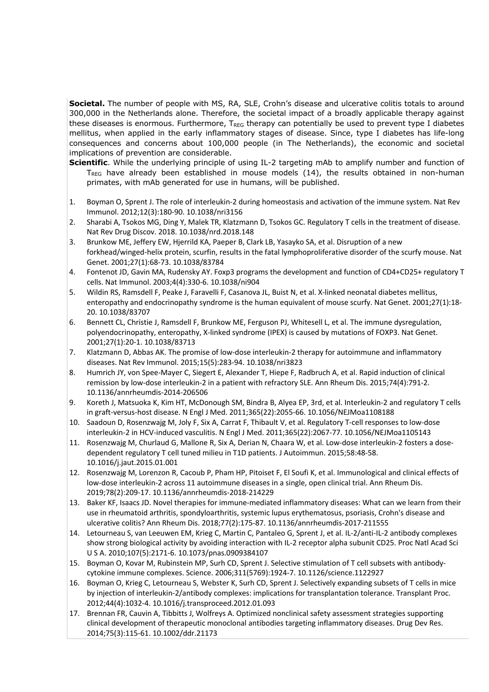**Societal.** The number of people with MS, RA, SLE, Crohn's disease and ulcerative colitis totals to around 300,000 in the Netherlands alone. Therefore, the societal impact of a broadly applicable therapy against these diseases is enormous. Furthermore,  $T_{REG}$  therapy can potentially be used to prevent type I diabetes mellitus, when applied in the early inflammatory stages of disease. Since, type I diabetes has life-long consequences and concerns about 100,000 people (in The Netherlands), the economic and societal implications of prevention are considerable.

- **Scientific**. While the underlying principle of using IL-2 targeting mAb to amplify number and function of  $T_{\text{REG}}$  have already been established in mouse models (14), the results obtained in non-human primates, with mAb generated for use in humans, will be published.
- 1. Boyman O, Sprent J. The role of interleukin-2 during homeostasis and activation of the immune system. Nat Rev Immunol. 2012;12(3):180-90. 10.1038/nri3156
- 2. Sharabi A, Tsokos MG, Ding Y, Malek TR, Klatzmann D, Tsokos GC. Regulatory T cells in the treatment of disease. Nat Rev Drug Discov. 2018. 10.1038/nrd.2018.148
- 3. Brunkow ME, Jeffery EW, Hjerrild KA, Paeper B, Clark LB, Yasayko SA, et al. Disruption of a new forkhead/winged-helix protein, scurfin, results in the fatal lymphoproliferative disorder of the scurfy mouse. Nat Genet. 2001;27(1):68-73. 10.1038/83784
- 4. Fontenot JD, Gavin MA, Rudensky AY. Foxp3 programs the development and function of CD4+CD25+ regulatory T cells. Nat Immunol. 2003;4(4):330-6. 10.1038/ni904
- 5. Wildin RS, Ramsdell F, Peake J, Faravelli F, Casanova JL, Buist N, et al. X-linked neonatal diabetes mellitus, enteropathy and endocrinopathy syndrome is the human equivalent of mouse scurfy. Nat Genet. 2001;27(1):18- 20. 10.1038/83707
- 6. Bennett CL, Christie J, Ramsdell F, Brunkow ME, Ferguson PJ, Whitesell L, et al. The immune dysregulation, polyendocrinopathy, enteropathy, X-linked syndrome (IPEX) is caused by mutations of FOXP3. Nat Genet. 2001;27(1):20-1. 10.1038/83713
- 7. Klatzmann D, Abbas AK. The promise of low-dose interleukin-2 therapy for autoimmune and inflammatory diseases. Nat Rev Immunol. 2015;15(5):283-94. 10.1038/nri3823
- 8. Humrich JY, von Spee-Mayer C, Siegert E, Alexander T, Hiepe F, Radbruch A, et al. Rapid induction of clinical remission by low-dose interleukin-2 in a patient with refractory SLE. Ann Rheum Dis. 2015;74(4):791-2. 10.1136/annrheumdis-2014-206506
- 9. Koreth J, Matsuoka K, Kim HT, McDonough SM, Bindra B, Alyea EP, 3rd, et al. Interleukin-2 and regulatory T cells in graft-versus-host disease. N Engl J Med. 2011;365(22):2055-66. 10.1056/NEJMoa1108188
- 10. Saadoun D, Rosenzwajg M, Joly F, Six A, Carrat F, Thibault V, et al. Regulatory T-cell responses to low-dose interleukin-2 in HCV-induced vasculitis. N Engl J Med. 2011;365(22):2067-77. 10.1056/NEJMoa1105143
- 11. Rosenzwajg M, Churlaud G, Mallone R, Six A, Derian N, Chaara W, et al. Low-dose interleukin-2 fosters a dosedependent regulatory T cell tuned milieu in T1D patients. J Autoimmun. 2015;58:48-58. 10.1016/j.jaut.2015.01.001
- 12. Rosenzwajg M, Lorenzon R, Cacoub P, Pham HP, Pitoiset F, El Soufi K, et al. Immunological and clinical effects of low-dose interleukin-2 across 11 autoimmune diseases in a single, open clinical trial. Ann Rheum Dis. 2019;78(2):209-17. 10.1136/annrheumdis-2018-214229
- 13. Baker KF, Isaacs JD. Novel therapies for immune-mediated inflammatory diseases: What can we learn from their use in rheumatoid arthritis, spondyloarthritis, systemic lupus erythematosus, psoriasis, Crohn's disease and ulcerative colitis? Ann Rheum Dis. 2018;77(2):175-87. 10.1136/annrheumdis-2017-211555
- 14. Letourneau S, van Leeuwen EM, Krieg C, Martin C, Pantaleo G, Sprent J, et al. IL-2/anti-IL-2 antibody complexes show strong biological activity by avoiding interaction with IL-2 receptor alpha subunit CD25. Proc Natl Acad Sci U S A. 2010;107(5):2171-6. 10.1073/pnas.0909384107
- 15. Boyman O, Kovar M, Rubinstein MP, Surh CD, Sprent J. Selective stimulation of T cell subsets with antibodycytokine immune complexes. Science. 2006;311(5769):1924-7. 10.1126/science.1122927
- 16. Boyman O, Krieg C, Letourneau S, Webster K, Surh CD, Sprent J. Selectively expanding subsets of T cells in mice by injection of interleukin-2/antibody complexes: implications for transplantation tolerance. Transplant Proc. 2012;44(4):1032-4. 10.1016/j.transproceed.2012.01.093
- 17. Brennan FR, Cauvin A, Tibbitts J, Wolfreys A. Optimized nonclinical safety assessment strategies supporting clinical development of therapeutic monoclonal antibodies targeting inflammatory diseases. Drug Dev Res. 2014;75(3):115-61. 10.1002/ddr.21173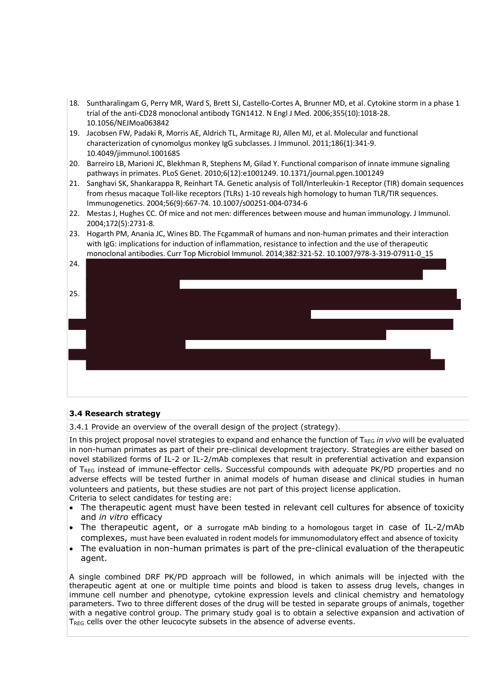- 18. Suntharalingam G, Perry MR, Ward S, Brett SJ, Castello-Cortes A, Brunner MD, et al. Cytokine storm in a phase 1 trial of the anti-CD28 monoclonal antibody TGN1412. N Engl J Med. 2006;355(10):1018-28. 10.1056/NEJMoa063842
- 19. Jacobsen FW, Padaki R, Morris AE, Aldrich TL, Armitage RJ, Allen MJ, et al. Molecular and functional characterization of cynomolgus monkey IgG subclasses. J Immunol. 2011;186(1):341-9. 10.4049/jimmunol.1001685
- 20. Barreiro LB, Marioni JC, Blekhman R, Stephens M, Gilad Y. Functional comparison of innate immune signaling pathways in primates. PLoS Genet. 2010;6(12):e1001249. 10.1371/journal.pgen.1001249
- 21. Sanghavi SK, Shankarappa R, Reinhart TA. Genetic analysis of Toll/Interleukin-1 Receptor (TIR) domain sequences from rhesus macaque Toll-like receptors (TLRs) 1-10 reveals high homology to human TLR/TIR sequences. Immunogenetics. 2004;56(9):667-74. 10.1007/s00251-004-0734-6
- 22. Mestas J, Hughes CC. Of mice and not men: differences between mouse and human immunology. J Immunol. 2004;172(5):2731-8.
- 23. Hogarth PM, Anania JC, Wines BD. The FcgammaR of humans and non-human primates and their interaction with IgG: implications for induction of inflammation, resistance to infection and the use of therapeutic monoclonal antibodies. Curr Top Microbiol Immunol. 2014;382:321-52. 10.1007/978-3-319-07911-0\_15



### **3.4 Research strategy**

3.4.1 Provide an overview of the overall design of the project (strategy).

In this project proposal novel strategies to expand and enhance the function of T<sub>REG</sub> in vivo will be evaluated in non-human primates as part of their pre-clinical development trajectory. Strategies are either based on novel stabilized forms of IL-2 or IL-2/mAb complexes that result in preferential activation and expansion of T<sub>REG</sub> instead of immune-effector cells. Successful compounds with adequate PK/PD properties and no adverse effects will be tested further in animal models of human disease and clinical studies in human volunteers and patients, but these studies are not part of this project license application. Criteria to select candidates for testing are:

- The therapeutic agent must have been tested in relevant cell cultures for absence of toxicity and *in vitro* efficacy
- The therapeutic agent, or a surrogate mAb binding to a homologous target in case of IL-2/mAb complexes, must have been evaluated in rodent models for immunomodulatory effect and absence of toxicity
- The evaluation in non-human primates is part of the pre-clinical evaluation of the therapeutic agent.

A single combined DRF PK/PD approach will be followed, in which animals will be injected with the therapeutic agent at one or multiple time points and blood is taken to assess drug levels, changes in immune cell number and phenotype, cytokine expression levels and clinical chemistry and hematology parameters. Two to three different doses of the drug will be tested in separate groups of animals, together with a negative control group. The primary study goal is to obtain a selective expansion and activation of T<sub>REG</sub> cells over the other leucocyte subsets in the absence of adverse events.